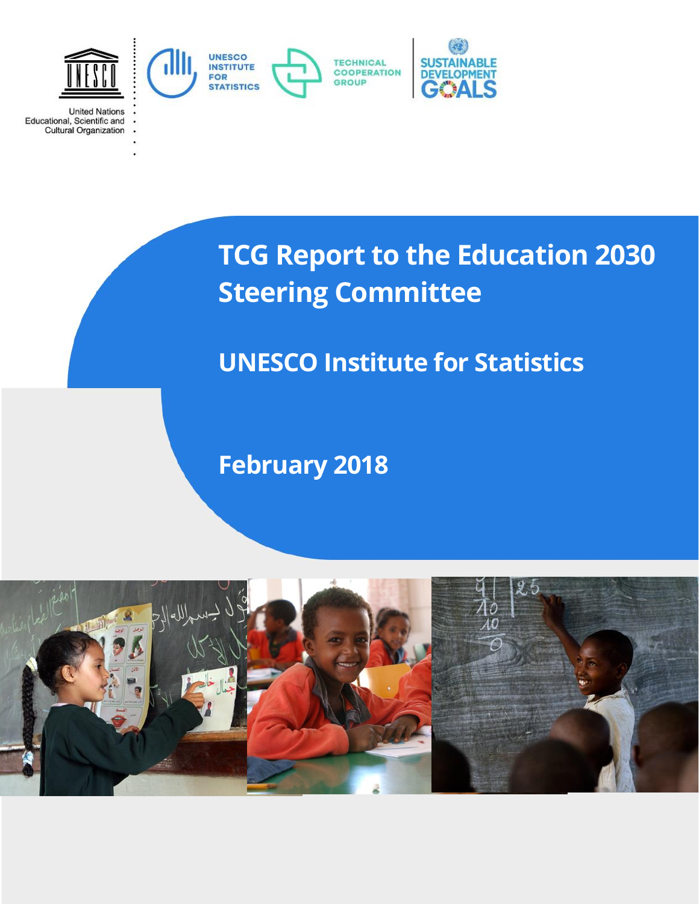

**United Nations** 

Educational, Scientific and<br>Cultural Organization

**TCG Report to the Education 2030 Steering Committee**

# **UNESCO Institute for Statistics**

**February 2018**

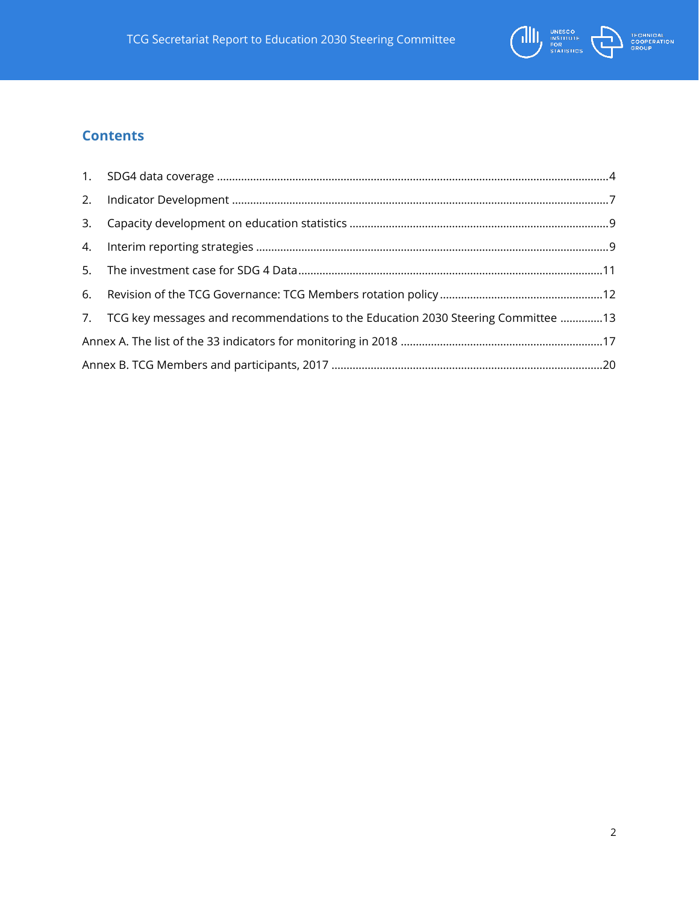

## **Contents**

| 7. TCG key messages and recommendations to the Education 2030 Steering Committee 13 |  |
|-------------------------------------------------------------------------------------|--|
|                                                                                     |  |
|                                                                                     |  |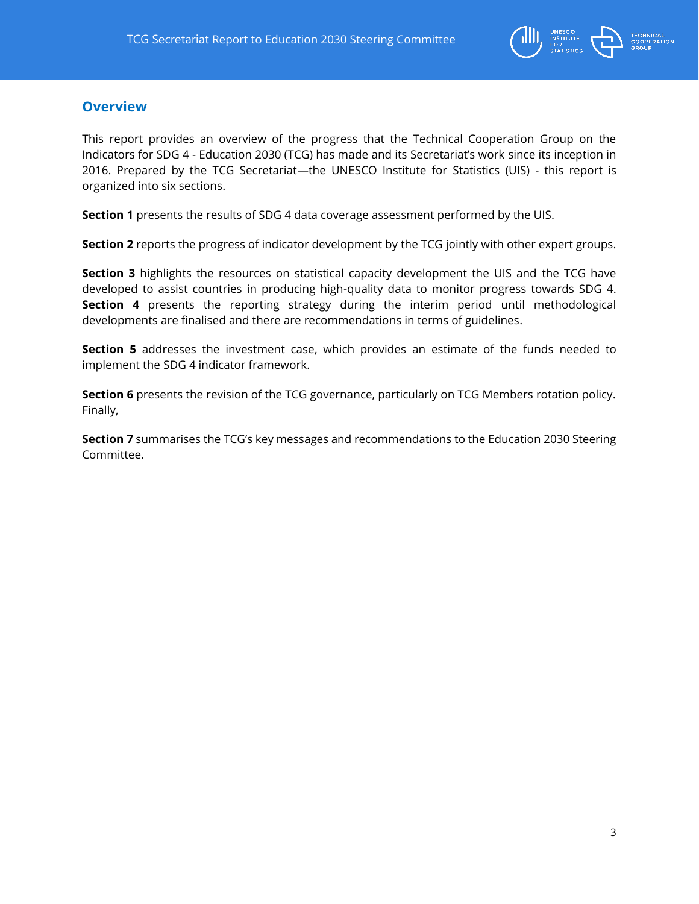

## **Overview**

This report provides an overview of the progress that the Technical Cooperation Group on the Indicators for SDG 4 - Education 2030 (TCG) has made and its Secretariat's work since its inception in 2016. Prepared by the TCG Secretariat—the UNESCO Institute for Statistics (UIS) - this report is organized into six sections.

**Section 1** presents the results of SDG 4 data coverage assessment performed by the UIS.

**Section 2** reports the progress of indicator development by the TCG jointly with other expert groups.

**Section 3** highlights the resources on statistical capacity development the UIS and the TCG have developed to assist countries in producing high-quality data to monitor progress towards SDG 4. **Section 4** presents the reporting strategy during the interim period until methodological developments are finalised and there are recommendations in terms of guidelines.

**Section 5** addresses the investment case, which provides an estimate of the funds needed to implement the SDG 4 indicator framework.

**Section 6** presents the revision of the TCG governance, particularly on TCG Members rotation policy. Finally,

**Section 7** summarises the TCG's key messages and recommendations to the Education 2030 Steering Committee.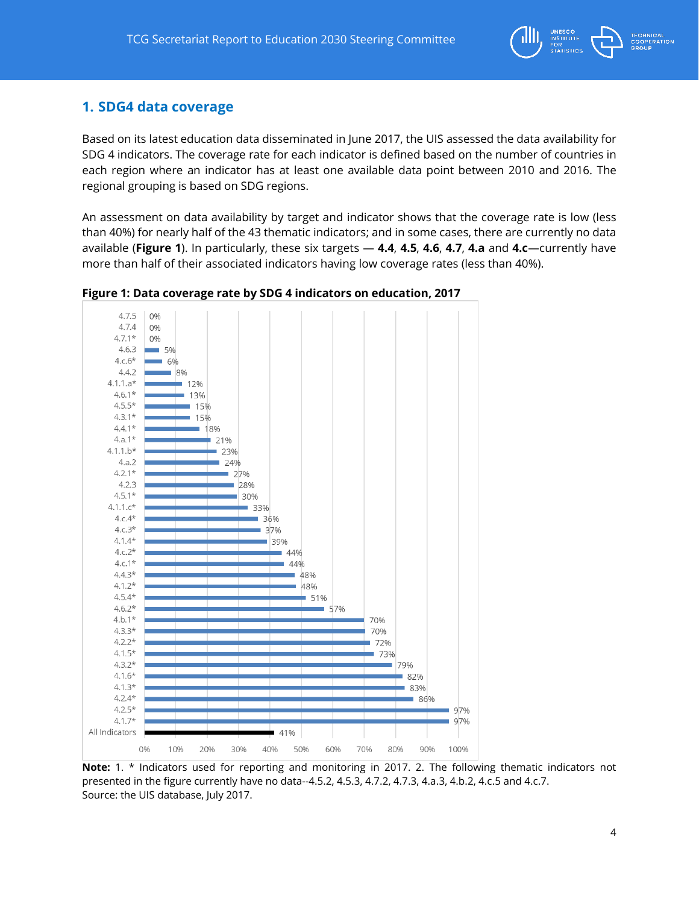

## <span id="page-3-0"></span>**1. SDG4 data coverage**

Based on its latest education data disseminated in June 2017, the UIS assessed the data availability for SDG 4 indicators. The coverage rate for each indicator is defined based on the number of countries in each region where an indicator has at least one available data point between 2010 and 2016. The regional grouping is based on SDG regions.

An assessment on data availability by target and indicator shows that the coverage rate is low (less than 40%) for nearly half of the 43 thematic indicators; and in some cases, there are currently no data available (**Figure 1**). In particularly, these six targets — **4.4**, **4.5**, **4.6**, **4.7**, **4.a** and **4.c**—currently have more than half of their associated indicators having low coverage rates (less than 40%).



**Figure 1: Data coverage rate by SDG 4 indicators on education, 2017**

**Note:** 1. \* Indicators used for reporting and monitoring in 2017. 2. The following thematic indicators not presented in the figure currently have no data--4.5.2, 4.5.3, 4.7.2, 4.7.3, 4.a.3, 4.b.2, 4.c.5 and 4.c.7. Source: the UIS database, July 2017.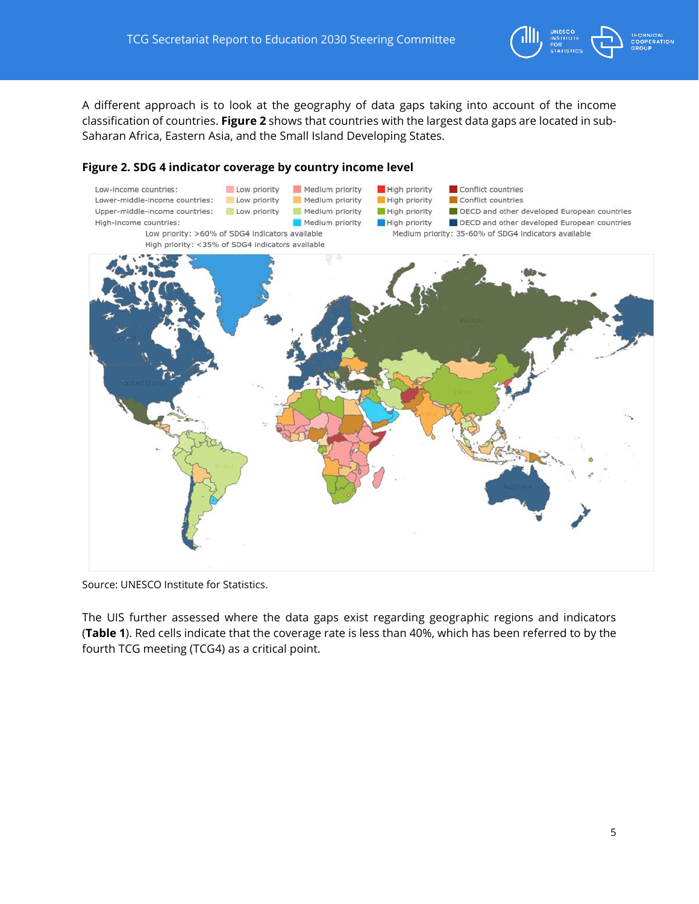

A different approach is to look at the geography of data gaps taking into account of the income classification of countries. **Figure 2** shows that countries with the largest data gaps are located in sub-Saharan Africa, Eastern Asia, and the Small Island Developing States.

#### **Figure 2. SDG 4 indicator coverage by country income level**



Source: UNESCO Institute for Statistics.

The UIS further assessed where the data gaps exist regarding geographic regions and indicators (**Table 1**). Red cells indicate that the coverage rate is less than 40%, which has been referred to by the fourth TCG meeting (TCG4) as a critical point.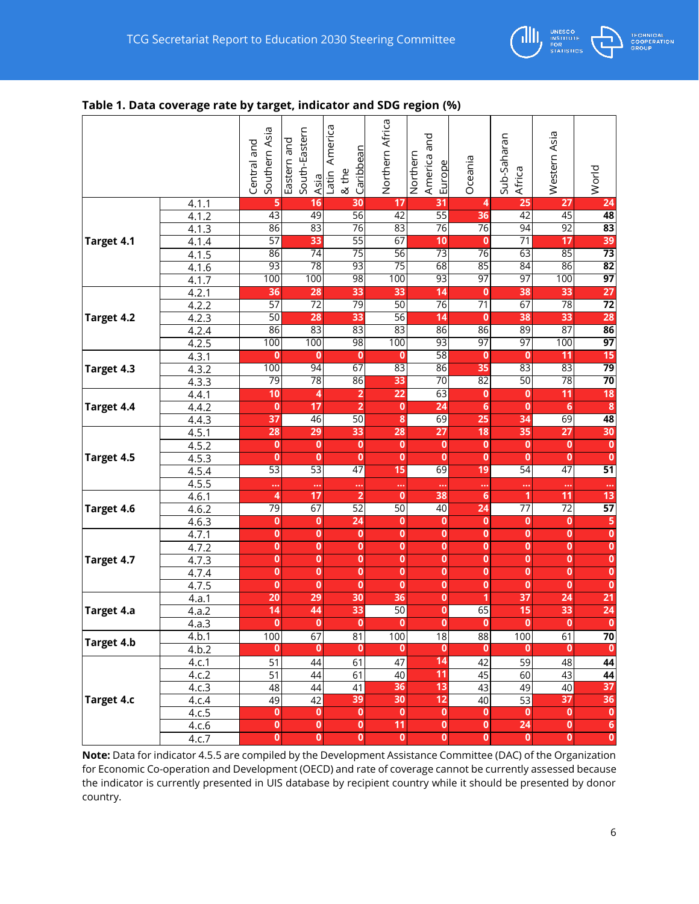

#### **Table 1. Data coverage rate by target, indicator and SDG region (%)**

|            |                    | Southern Asia<br>Central and | South-Eastern<br>Eastern and<br>Asia | America<br>Caribbean<br>& the<br>Latin | Northern Africa         | America and<br>Northern<br>Europe | Oceania                 | Sub-Saharan<br>Africa   | Western Asia            | World                   |
|------------|--------------------|------------------------------|--------------------------------------|----------------------------------------|-------------------------|-----------------------------------|-------------------------|-------------------------|-------------------------|-------------------------|
|            | 4.1.1              | 5                            | 16                                   | 30                                     | 17                      | 31                                | 4                       | 25                      | 27                      | 24                      |
|            | 4.1.2              | 43                           | 49                                   | 56                                     | 42                      | $\overline{55}$                   | 36                      | $\overline{42}$         | 45                      | 48                      |
|            | 4.1.3              | 86                           | 83                                   | 76                                     | 83                      | $\overline{76}$                   | 76                      | 94                      | 92                      | $\overline{83}$         |
| Target 4.1 | 4.1.4              | 57                           | 33                                   | 55                                     | 67                      | 10                                | $\bf{0}$                | $\overline{71}$         | 17                      | 39                      |
|            | 4.1.5              | 86                           | 74                                   | 75                                     | 56                      | $\overline{73}$                   | $\overline{76}$         | 63                      | 85                      | $\overline{73}$         |
|            | 4.1.6              | 93                           | 78                                   | 93                                     | 75                      | 68                                | 85                      | 84                      | 86                      | 82                      |
|            | 4.1.7              | 100                          | 100                                  | 98                                     | 100                     | 93                                | 97                      | 97                      | 100                     | 97                      |
|            | 4.2.1              | 36                           | 28                                   | 33                                     | 33                      | 14                                | $\bf{0}$                | 38                      | 33                      | 27                      |
|            | 4.2.2              | 57                           | $\overline{72}$                      | 79                                     | 50                      | $\overline{76}$                   | $\overline{71}$         | 67                      | 78                      | $\overline{72}$         |
| Target 4.2 | 4.2.3              | 50                           | 28                                   | 33                                     | 56                      | 14                                | $\bf{0}$                | 38                      | 33                      | 28                      |
|            | 4.2.4              | 86                           | 83                                   | 83                                     | 83                      | 86                                | 86<br>97                | 89                      | 87                      | $\overline{86}$<br>97   |
|            | 4.2.5              | 100                          | 100                                  | 98                                     | 100                     | 93<br>58                          |                         | 97                      | 100<br>11               | 15                      |
|            | 4.3.1              | $\bf{0}$<br>100              | $\bf{0}$<br>94                       | $\bf{0}$<br>67                         | $\mathbf{0}$<br>83      | 86                                | $\bf{0}$<br>35          | $\bf{0}$<br>83          | 83                      | $\overline{79}$         |
| Target 4.3 | 4.3.2<br>4.3.3     | 79                           | 78                                   | 86                                     | 33                      | 70                                | 82                      | 50                      | 78                      | 70                      |
|            | 4.4.1              | 10                           | 4                                    | $\overline{\mathbf{2}}$                | 22                      | 63                                | $\bf{0}$                | $\bf{0}$                | 11                      | 18                      |
| Target 4.4 | 4.4.2              | $\bf{0}$                     | 17                                   | $\overline{2}$                         | $\bf{0}$                | 24                                | $6\phantom{1}6$         | $\mathbf{0}$            | 6                       | $\overline{\mathbf{8}}$ |
|            | 4.4.3              | 37                           | 46                                   | 50                                     | 8                       | 69                                | 25                      | 34                      | 69                      | 48                      |
|            | 4.5.1              | 28                           | 29                                   | 33                                     | 28                      | 27                                | 18                      | 35                      | 27                      | 30                      |
|            | 4.5.2              | $\bf{0}$                     | $\bf{0}$                             | 0                                      | $\bf{0}$                | $\bf{0}$                          | $\pmb{0}$               | $\bf{0}$                | $\mathbf{0}$            | $\bf{0}$                |
| Target 4.5 | 4.5.3              | $\mathbf 0$                  | $\bf{0}$                             | $\bf{0}$                               | $\bf{0}$                | $\mathbf{0}$                      | $\mathbf{0}$            | $\mathbf{0}$            | $\bf{0}$                | $\bf{0}$                |
|            | 4.5.4              | $\overline{53}$              | 53                                   | 47                                     | 15                      | 69                                | 19                      | 54                      | 47                      | $\overline{51}$         |
|            | 4.5.5              | $\ddotsc$                    |                                      |                                        | $\ddot{\phantom{0}}$    | $\ddotsc$                         | $\ddot{\phantom{0}}$    |                         |                         | $\ddot{\phantom{0}}$    |
|            | 4.6.1              | 4                            | 17                                   | $\overline{2}$                         | $\overline{\mathbf{0}}$ | 38                                | $\overline{6}$          | 1                       | 11                      | 13                      |
| Target 4.6 | 4.6.2              | 79                           | 67                                   | 52                                     | 50                      | 40                                | 24                      | 77                      | 72                      | $\overline{57}$         |
|            | 4.6.3              | 0                            | 0                                    | 24                                     | $\mathbf 0$             | $\mathbf 0$                       | $\bf{0}$                | $\mathbf 0$             | 0                       | 5                       |
|            | 4.7.1              | $\overline{\mathbf{0}}$      | $\bf{0}$                             | 0                                      | $\bf{0}$                | 0                                 | $\bf{0}$                | $\pmb{0}$               | $\bf{0}$                | $\overline{\mathbf{0}}$ |
|            | 4.7.2              | $\overline{\mathbf{0}}$      | $\bf{0}$                             | $\bf{0}$                               | $\bf{0}$                | $\bf{0}$                          | $\overline{\mathbf{0}}$ | $\pmb{0}$               | $\overline{\mathbf{0}}$ | $\overline{\mathbf{0}}$ |
| Target 4.7 | 4.7.3              | $\overline{\mathbf{0}}$      | $\bf{0}$                             | $\bf{0}$                               | 0                       | $\bf{0}$                          | $\bf{0}$                | $\overline{\mathbf{0}}$ | $\bf{0}$                | $\overline{\mathbf{0}}$ |
|            | 4.7.4              | $\bf{0}$                     | $\bf{0}$                             | $\bf{0}$                               | $\bf{0}$                | $\bf{0}$                          | $\bf{0}$                | $\bf{0}$                | $\bf{0}$                | $\overline{\mathbf{0}}$ |
|            | 4.7.5              | $\overline{\mathbf{0}}$      | $\mathbf{0}$                         | $\overline{\mathbf{0}}$                | $\overline{0}$          | $\pmb{0}$                         | $\overline{\mathbf{0}}$ | $\overline{0}$          | $\mathbf{0}$            | $\overline{\mathbf{0}}$ |
|            | 4.a.1              | 20                           | 29                                   | 30                                     | 36                      | $\bf{0}$                          | 1                       | 37                      | 24                      | 21                      |
| Target 4.a | 4.a.2              | 14                           | 44                                   | 33                                     | 50                      | $\bf{0}$                          | 65                      | 15                      | 33                      | 24                      |
|            | $\overline{4.a.3}$ | $\bf{0}$                     | $\mathbf{0}$                         | $\mathbf{0}$                           | 0                       | $\mathbf{0}$                      | 0                       | $\mathbf{0}$            | $\mathbf{0}$            | $\overline{\mathbf{0}}$ |
| Target 4.b | $\overline{4,b.1}$ | 100                          | 67                                   | 81                                     | 100                     | 18                                | 88                      | 100                     | 61                      | <u>70</u>               |
|            | 4.b.2              | 0                            | $\mathbf 0$                          | $\mathbf{0}$                           | 0                       | $\mathbf{0}$                      | 0                       | 0                       | $\overline{\mathbf{0}}$ |                         |
|            | 4.c.1              | 51                           | 44                                   | 61                                     | 47                      | 14                                | 42                      | 59                      | 48                      | 44                      |
|            | 4.c.2              | $\overline{51}$              | 44                                   | 61                                     | 40                      | 11                                | 45                      | 60                      | 43                      | 44                      |
|            | 4.c.3              | 48                           | 44                                   | 41                                     | 36                      | 13                                | 43                      | 49                      | 40                      | 37                      |
| Target 4.c | 4.c.4              | 49                           | 42                                   | 39                                     | 30                      | 12                                | 40                      | 53                      | 37                      | 36                      |
|            | 4.c.5              | $\bf{0}$                     | $\bf{0}$                             | $\mathbf{0}$                           | $\mathbf 0$             | $\bf{0}$                          | 0                       | 0                       | $\mathbf{0}$            | 0                       |
|            | 4.c.6              | $\overline{\mathbf{0}}$      | $\bf{0}$                             | $\bf{0}$                               | 11                      | $\pmb{0}$                         | $\bullet$               | 24                      | $\bf{0}$                | 6                       |
|            | 4.c.7              | $\overline{\mathbf{0}}$      | $\bf{0}$                             | $\mathbf 0$                            | $\bf{0}$                | $\mathbf{0}$                      | 0                       | $\mathbf 0$             | $\pmb{0}$               | $\overline{\mathbf{0}}$ |

**Note:** Data for indicator 4.5.5 are compiled by the Development Assistance Committee (DAC) of the Organization for Economic Co-operation and Development (OECD) and rate of coverage cannot be currently assessed because the indicator is currently presented in UIS database by recipient country while it should be presented by donor country.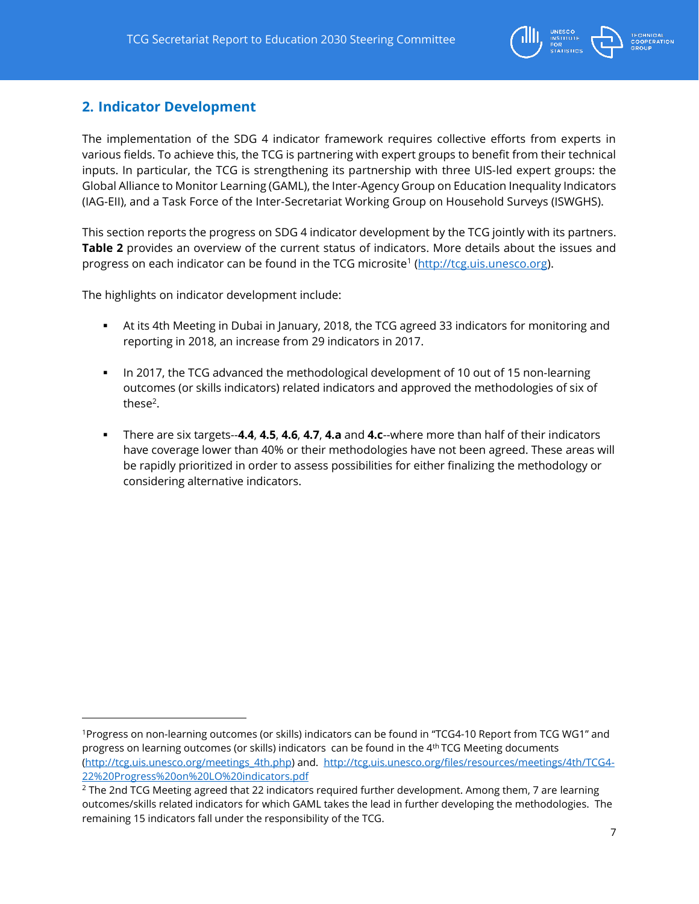

## <span id="page-6-0"></span>**2. Indicator Development**

The implementation of the SDG 4 indicator framework requires collective efforts from experts in various fields. To achieve this, the TCG is partnering with expert groups to benefit from their technical inputs. In particular, the TCG is strengthening its partnership with three UIS-led expert groups: the Global Alliance to Monitor Learning (GAML), the Inter-Agency Group on Education Inequality Indicators (IAG-EII), and a Task Force of the Inter-Secretariat Working Group on Household Surveys (ISWGHS).

This section reports the progress on SDG 4 indicator development by the TCG jointly with its partners. **Table 2** provides an overview of the current status of indicators. More details about the issues and progress on each indicator can be found in the TCG microsite<sup>1</sup> (http://<u>tcg.uis.unesco.org</u>).

The highlights on indicator development include:

- At its 4th Meeting in Dubai in January, 2018, the TCG agreed 33 indicators for monitoring and reporting in 2018, an increase from 29 indicators in 2017.
- In 2017, the TCG advanced the methodological development of 10 out of 15 non-learning outcomes (or skills indicators) related indicators and approved the methodologies of six of these<sup>2</sup>.
- There are six targets--**4.4**, **4.5**, **4.6**, **4.7**, **4.a** and **4.c**--where more than half of their indicators have coverage lower than 40% or their methodologies have not been agreed. These areas will be rapidly prioritized in order to assess possibilities for either finalizing the methodology or considering alternative indicators.

<sup>1</sup>Progress on non-learning outcomes (or skills) indicators can be found in "TCG4-10 Report from TCG WG1" and progress on learning outcomes (or skills) indicators can be found in the 4th TCG Meeting documents [\(http://tcg.uis.unesco.org/meetings\\_4th.php\)](http://tcg.uis.unesco.org/meetings_4th.php) and. [http://tcg.uis.unesco.org/files/resources/meetings/4th/TCG4-](http://tcg.uis.unesco.org/files/resources/meetings/4th/TCG4-22%20Progress%20on%20LO%20indicators.pdf) [22%20Progress%20on%20LO%20indicators.pdf](http://tcg.uis.unesco.org/files/resources/meetings/4th/TCG4-22%20Progress%20on%20LO%20indicators.pdf)

<sup>&</sup>lt;sup>2</sup> The 2nd TCG Meeting agreed that 22 indicators required further development. Among them, 7 are learning outcomes/skills related indicators for which GAML takes the lead in further developing the methodologies. The remaining 15 indicators fall under the responsibility of the TCG.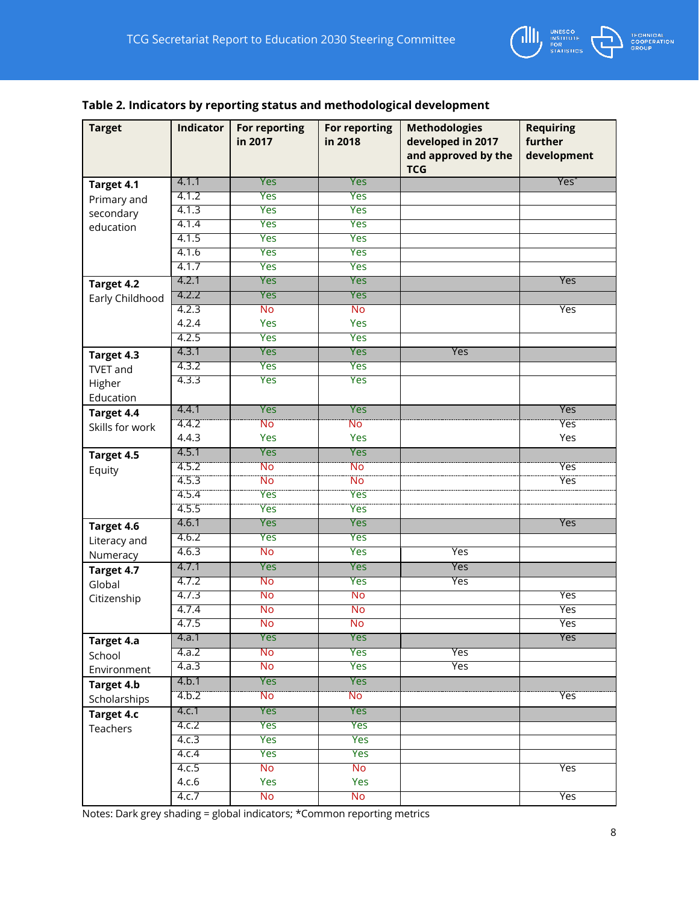

## **Table 2. Indicators by reporting status and methodological development**

| <b>Target</b>                                                                                                                             | <b>Indicator</b>        | For reporting<br>in 2017 | <b>For reporting</b><br>in 2018 | <b>Methodologies</b><br>developed in 2017<br>and approved by the<br><b>TCG</b> | <b>Requiring</b><br>further<br>development |
|-------------------------------------------------------------------------------------------------------------------------------------------|-------------------------|--------------------------|---------------------------------|--------------------------------------------------------------------------------|--------------------------------------------|
| Target 4.1                                                                                                                                | 4.1.1                   | Yes                      | Yes                             |                                                                                | Yes <sup>*</sup>                           |
| Primary and                                                                                                                               | 4.1.2                   | Yes                      | Yes                             |                                                                                |                                            |
| secondary                                                                                                                                 | 4.1.3                   | Yes                      | Yes                             |                                                                                |                                            |
| education                                                                                                                                 | 4.1.4                   | Yes                      | Yes                             |                                                                                |                                            |
|                                                                                                                                           | 4.1.5                   | Yes                      | Yes                             |                                                                                |                                            |
|                                                                                                                                           | 4.1.6                   | Yes                      | Yes                             |                                                                                |                                            |
|                                                                                                                                           | 4.1.7                   | Yes                      | Yes                             |                                                                                |                                            |
| Target 4.2                                                                                                                                | 4.2.1                   | Yes                      | Yes                             |                                                                                | Yes                                        |
| Early Childhood                                                                                                                           | 4.2.2                   | Yes                      | Yes                             |                                                                                |                                            |
|                                                                                                                                           | 4.2.3                   | <b>No</b>                | <b>No</b>                       |                                                                                | Yes                                        |
|                                                                                                                                           | 4.2.4                   | Yes                      | Yes                             |                                                                                |                                            |
|                                                                                                                                           | 4.2.5                   | Yes                      | Yes                             |                                                                                |                                            |
| Target 4.3                                                                                                                                | 4.3.1                   | Yes                      | Yes                             | Yes                                                                            |                                            |
| <b>TVET and</b>                                                                                                                           | 4.3.2                   | Yes                      | Yes                             |                                                                                |                                            |
| Higher                                                                                                                                    | 4.3.3                   | Yes                      | Yes                             |                                                                                |                                            |
| Education                                                                                                                                 |                         |                          |                                 |                                                                                |                                            |
| Target 4.4                                                                                                                                | 4.4.1                   | Yes                      | Yes                             |                                                                                | Yes                                        |
| Skills for work                                                                                                                           | 4.4.2                   | <b>No</b>                | <b>No</b>                       |                                                                                | <b>Yes</b>                                 |
|                                                                                                                                           | 4.4.3                   | Yes                      | <b>Yes</b>                      |                                                                                | Yes                                        |
| Target 4.5                                                                                                                                | 4.5.1                   | Yes                      | Yes                             |                                                                                |                                            |
| Equity                                                                                                                                    | 4.5.2                   | Nö                       | Ñō                              |                                                                                | <b>Yes</b>                                 |
|                                                                                                                                           | 4.5.3                   | <b>No</b>                | No                              |                                                                                | <b>Yes</b>                                 |
|                                                                                                                                           | 4.5.4                   | Yes                      | Yes                             |                                                                                |                                            |
|                                                                                                                                           | 4.5.5                   | Yes                      | Yes                             |                                                                                |                                            |
| Target 4.6                                                                                                                                | 4.6.1                   | Yes                      | Yes                             |                                                                                | Yes                                        |
| Literacy and                                                                                                                              | 4.6.2                   | <b>Yes</b>               | Yes                             |                                                                                |                                            |
| Numeracy                                                                                                                                  | 4.6.3                   | <b>No</b>                | Yes                             | Yes                                                                            |                                            |
|                                                                                                                                           | 4.7.1                   | Yes                      | Yes                             | Yes                                                                            |                                            |
|                                                                                                                                           | 4.7.2                   | No                       | <b>Yes</b>                      | <b>Yes</b>                                                                     |                                            |
|                                                                                                                                           | 4.7.3                   | No                       | No                              |                                                                                | <b>Yes</b>                                 |
|                                                                                                                                           | 4.7.4                   | <b>No</b>                | No                              |                                                                                | Yes                                        |
|                                                                                                                                           | 4.7.5                   | <b>No</b>                | No                              |                                                                                | Yes                                        |
|                                                                                                                                           | 4.a.1                   | Yes                      | Yes                             |                                                                                | Yes                                        |
|                                                                                                                                           | 4.a.2                   | No                       | <b>Yes</b>                      | Yes                                                                            |                                            |
|                                                                                                                                           | 4.a.3                   | No                       | Yes                             | Yes                                                                            |                                            |
|                                                                                                                                           | 4.b.1                   | Yes                      | Yes                             |                                                                                |                                            |
|                                                                                                                                           | 4.6.2                   | <b>No</b>                | <b>No</b>                       |                                                                                | <b>Yes</b>                                 |
|                                                                                                                                           | 4.c.1                   | Yes                      | Yes                             |                                                                                |                                            |
|                                                                                                                                           | 4.c.2                   | <b>Yes</b>               | <b>Yes</b>                      |                                                                                |                                            |
|                                                                                                                                           |                         |                          |                                 |                                                                                |                                            |
|                                                                                                                                           |                         |                          |                                 |                                                                                |                                            |
|                                                                                                                                           |                         |                          | <b>No</b>                       |                                                                                |                                            |
|                                                                                                                                           | 4.c.6                   | Yes                      | Yes                             |                                                                                |                                            |
|                                                                                                                                           | 4.c.7                   | No                       | No                              |                                                                                | Yes                                        |
| Target 4.7<br>Global<br>Citizenship<br>Target 4.a<br>School<br>Environment<br>Target 4.b<br>Scholarships<br><b>Target 4.c</b><br>Teachers | 4.c.3<br>4.c.4<br>4.c.5 | Yes<br>Yes<br>No         | Yes<br>Yes                      |                                                                                | Yes                                        |

Notes: Dark grey shading = global indicators; \*Common reporting metrics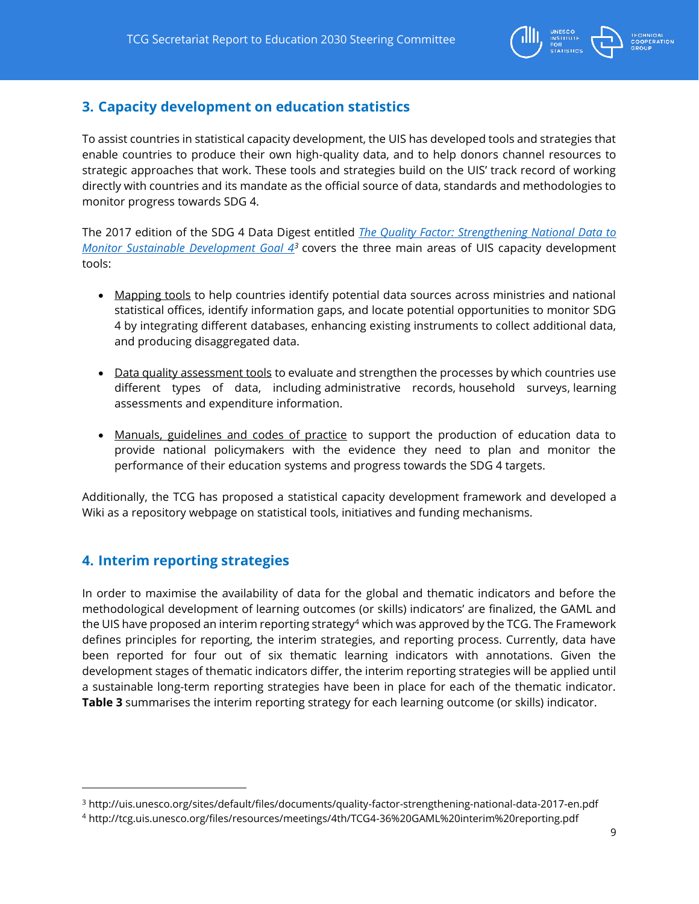

## <span id="page-8-0"></span>**3. Capacity development on education statistics**

To assist countries in statistical capacity development, the UIS has developed tools and strategies that enable countries to produce their own high-quality data, and to help donors channel resources to strategic approaches that work. These tools and strategies build on the UIS' track record of working directly with countries and its mandate as the official source of data, standards and methodologies to monitor progress towards SDG 4.

The 2017 edition of the SDG 4 Data Digest entitled *[The Quality Factor: Strengthening National Data to](http://uis.unesco.org/sites/default/files/documents/quality-factor-strengthening-national-data-2017-en.pdf)  [Monitor Sustainable Development Goal 4](http://uis.unesco.org/sites/default/files/documents/quality-factor-strengthening-national-data-2017-en.pdf)<sup>3</sup>* covers the three main areas of UIS capacity development tools:

- Mapping tools to help countries identify potential data sources across ministries and national statistical offices, identify information gaps, and locate potential opportunities to monitor SDG 4 by integrating different databases, enhancing existing instruments to collect additional data, and producing disaggregated data.
- Data quality assessment tools to evaluate and strengthen the processes by which countries use different types of data, including administrative records, household surveys, learning assessments and expenditure information.
- Manuals, guidelines and codes of practice to support the production of education data to provide national policymakers with the evidence they need to plan and monitor the performance of their education systems and progress towards the SDG 4 targets.

Additionally, the TCG has proposed a statistical capacity development framework and developed a Wiki as a repository webpage on statistical tools, initiatives and funding mechanisms.

## <span id="page-8-1"></span>**4. Interim reporting strategies**

 $\overline{a}$ 

In order to maximise the availability of data for the global and thematic indicators and before the methodological development of learning outcomes (or skills) indicators' are finalized, the GAML and the UIS have proposed an interim reporting strategy<sup>4</sup> which was approved by the TCG. The Framework defines principles for reporting, the interim strategies, and reporting process. Currently, data have been reported for four out of six thematic learning indicators with annotations. Given the development stages of thematic indicators differ, the interim reporting strategies will be applied until a sustainable long-term reporting strategies have been in place for each of the thematic indicator. **Table 3** summarises the interim reporting strategy for each learning outcome (or skills) indicator.

<sup>3</sup> http://uis.unesco.org/sites/default/files/documents/quality-factor-strengthening-national-data-2017-en.pdf

<sup>4</sup> http://tcg.uis.unesco.org/files/resources/meetings/4th/TCG4-36%20GAML%20interim%20reporting.pdf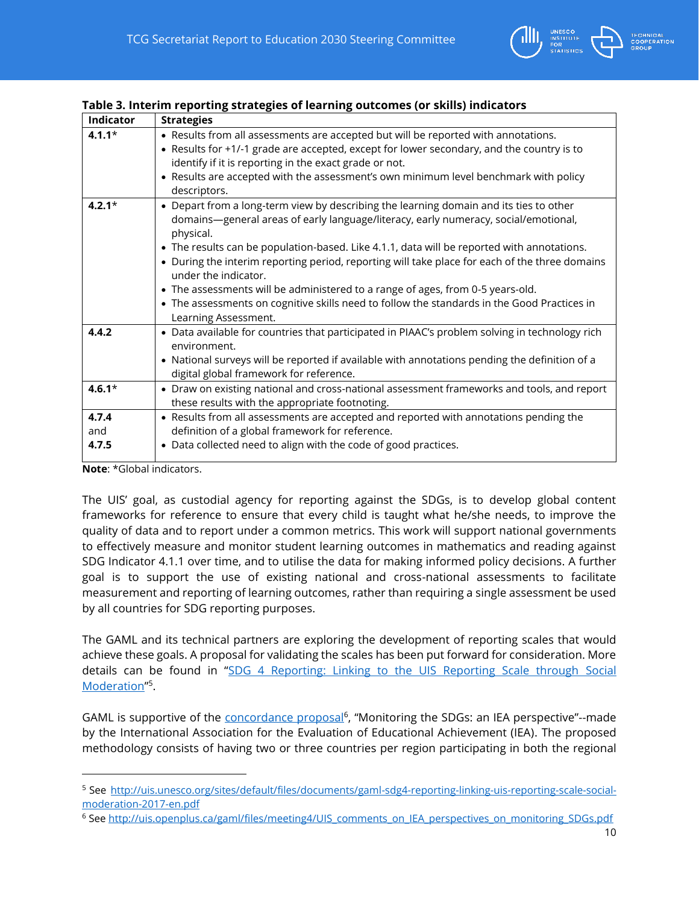

| <b>Indicator</b>                                                            | <b>Strategies</b>                                                                                                                                                                                                                                                                                                                                                                                                                                                                                                                                                                                                         |
|-----------------------------------------------------------------------------|---------------------------------------------------------------------------------------------------------------------------------------------------------------------------------------------------------------------------------------------------------------------------------------------------------------------------------------------------------------------------------------------------------------------------------------------------------------------------------------------------------------------------------------------------------------------------------------------------------------------------|
| $4.1.1*$                                                                    | • Results from all assessments are accepted but will be reported with annotations.<br>• Results for +1/-1 grade are accepted, except for lower secondary, and the country is to<br>identify if it is reporting in the exact grade or not.<br>• Results are accepted with the assessment's own minimum level benchmark with policy<br>descriptors.                                                                                                                                                                                                                                                                         |
| $4.2.1*$                                                                    | • Depart from a long-term view by describing the learning domain and its ties to other<br>domains—general areas of early language/literacy, early numeracy, social/emotional,<br>physical.<br>• The results can be population-based. Like 4.1.1, data will be reported with annotations.<br>• During the interim reporting period, reporting will take place for each of the three domains<br>under the indicator.<br>• The assessments will be administered to a range of ages, from 0-5 years-old.<br>The assessments on cognitive skills need to follow the standards in the Good Practices in<br>Learning Assessment. |
| 4.4.2                                                                       | • Data available for countries that participated in PIAAC's problem solving in technology rich<br>environment.<br>• National surveys will be reported if available with annotations pending the definition of a<br>digital global framework for reference.                                                                                                                                                                                                                                                                                                                                                                |
| $4.6.1*$                                                                    | • Draw on existing national and cross-national assessment frameworks and tools, and report<br>these results with the appropriate footnoting.                                                                                                                                                                                                                                                                                                                                                                                                                                                                              |
| 4.7.4<br>and<br>4.7.5<br>$\mathbf{r}$ . The state of the state $\mathbf{r}$ | • Results from all assessments are accepted and reported with annotations pending the<br>definition of a global framework for reference.<br>• Data collected need to align with the code of good practices.                                                                                                                                                                                                                                                                                                                                                                                                               |

#### **Table 3. Interim reporting strategies of learning outcomes (or skills) indicators**

**Note**: \*Global indicators.

 $\overline{a}$ 

The UIS' goal, as custodial agency for reporting against the SDGs, is to develop global content frameworks for reference to ensure that every child is taught what he/she needs, to improve the quality of data and to report under a common metrics. This work will support national governments to effectively measure and monitor student learning outcomes in mathematics and reading against SDG Indicator 4.1.1 over time, and to utilise the data for making informed policy decisions. A further goal is to support the use of existing national and cross-national assessments to facilitate measurement and reporting of learning outcomes, rather than requiring a single assessment be used by all countries for SDG reporting purposes.

The GAML and its technical partners are exploring the development of reporting scales that would achieve these goals. A proposal for validating the scales has been put forward for consideration. More details can be found in "[SDG 4 Reporting: Linking to the UIS Reporting Scale through](http://uis.unesco.org/sites/default/files/documents/gaml-sdg4-reporting-linking-uis-reporting-scale-social-moderation-2017-en.pdf) Social [Moderation](http://uis.unesco.org/sites/default/files/documents/gaml-sdg4-reporting-linking-uis-reporting-scale-social-moderation-2017-en.pdf)"<sup>5</sup>.

GAML is supportive of the [concordance proposal](http://uis.openplus.ca/gaml/files/meeting4/UIS_comments_on_IEA_perspectives_on_monitoring_SDGs.pdf)<sup>6</sup>, "Monitoring the SDGs: an IEA perspective"--made by the International Association for the Evaluation of Educational Achievement (IEA). The proposed methodology consists of having two or three countries per region participating in both the regional

<sup>5</sup> See [http://uis.unesco.org/sites/default/files/documents/gaml-sdg4-reporting-linking-uis-reporting-scale-social](http://uis.unesco.org/sites/default/files/documents/gaml-sdg4-reporting-linking-uis-reporting-scale-social-moderation-2017-en.pdf)[moderation-2017-en.pdf](http://uis.unesco.org/sites/default/files/documents/gaml-sdg4-reporting-linking-uis-reporting-scale-social-moderation-2017-en.pdf)

<sup>&</sup>lt;sup>6</sup> See [http://uis.openplus.ca/gaml/files/meeting4/UIS\\_comments\\_on\\_IEA\\_perspectives\\_on\\_monitoring\\_SDGs.pdf](http://uis.openplus.ca/gaml/files/meeting4/UIS_comments_on_IEA_perspectives_on_monitoring_SDGs.pdf)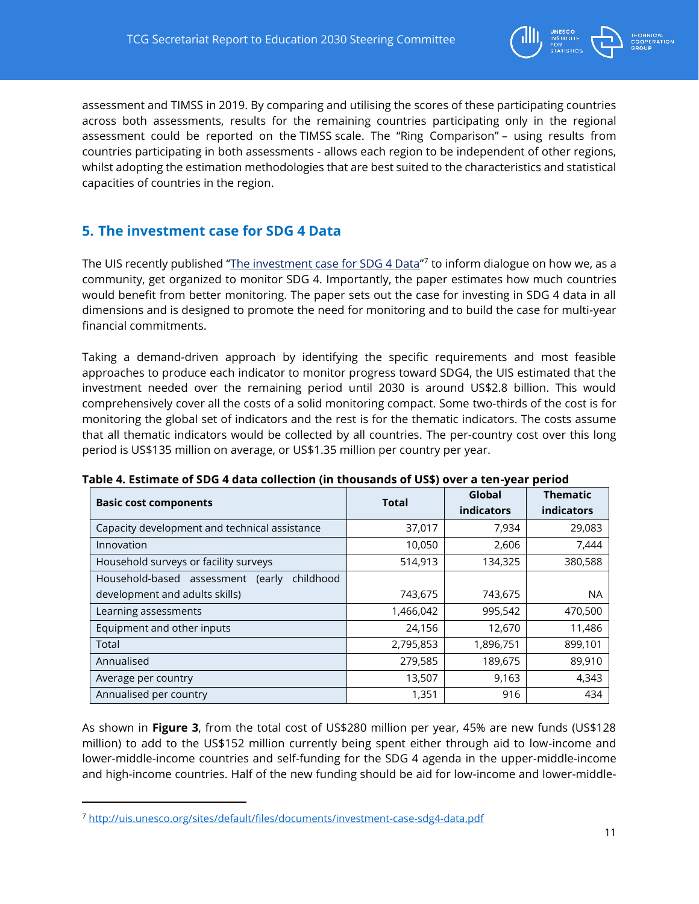

assessment and [TIMSS](https://timssandpirls.bc.edu/) in 2019. By comparing and utilising the scores of these participating countries across both assessments, results for the remaining countries participating only in the regional assessment could be reported on the [TIMSS](https://timssandpirls.bc.edu/) scale. The "Ring Comparison" – using results from countries participating in both assessments - allows each region to be independent of other regions, whilst adopting the estimation methodologies that are best suited to the characteristics and statistical capacities of countries in the region.

## <span id="page-10-0"></span>**5. The investment case for SDG 4 Data**

The UIS recently published "<u>[The investment case for SDG 4 Data](http://uis.unesco.org/sites/default/files/documents/investment-case-sdg4-data.pdf)</u>"<sup>7</sup> to inform dialogue on how we, as a community, get organized to monitor SDG 4. Importantly, the paper estimates how much countries would benefit from better monitoring. The paper sets out the case for investing in SDG 4 data in all dimensions and is designed to promote the need for monitoring and to build the case for multi-year financial commitments.

Taking a demand-driven approach by identifying the specific requirements and most feasible approaches to produce each indicator to monitor progress toward SDG4, the UIS estimated that the investment needed over the remaining period until 2030 is around US\$2.8 billion. This would comprehensively cover all the costs of a solid monitoring compact. Some two-thirds of the cost is for monitoring the global set of indicators and the rest is for the thematic indicators. The costs assume that all thematic indicators would be collected by all countries. The per-country cost over this long period is US\$135 million on average, or US\$1.35 million per country per year.

| <b>Basic cost components</b>                   | <b>Total</b> | Global<br><b>indicators</b> | <b>Thematic</b><br><b>indicators</b> |
|------------------------------------------------|--------------|-----------------------------|--------------------------------------|
| Capacity development and technical assistance  | 37,017       | 7,934                       | 29,083                               |
| Innovation                                     | 10,050       | 2,606                       | 7,444                                |
| Household surveys or facility surveys          | 514,913      | 134,325                     | 380,588                              |
| Household-based assessment (early<br>childhood |              |                             |                                      |
| development and adults skills)                 | 743,675      | 743,675                     | <b>NA</b>                            |
| Learning assessments                           | 1,466,042    | 995,542                     | 470,500                              |
| Equipment and other inputs                     | 24,156       | 12,670                      | 11,486                               |
| Total                                          | 2,795,853    | 1,896,751                   | 899,101                              |
| Annualised                                     | 279,585      | 189,675                     | 89,910                               |
| Average per country                            | 13,507       | 9,163                       | 4,343                                |
| Annualised per country                         | 1,351        | 916                         | 434                                  |

#### **Table 4. Estimate of SDG 4 data collection (in thousands of US\$) over a ten-year period**

As shown in **Figure 3**, from the total cost of US\$280 million per year, 45% are new funds (US\$128 million) to add to the US\$152 million currently being spent either through aid to low-income and lower-middle-income countries and self-funding for the SDG 4 agenda in the upper-middle-income and high-income countries. Half of the new funding should be aid for low-income and lower-middle-

<sup>7</sup> <http://uis.unesco.org/sites/default/files/documents/investment-case-sdg4-data.pdf>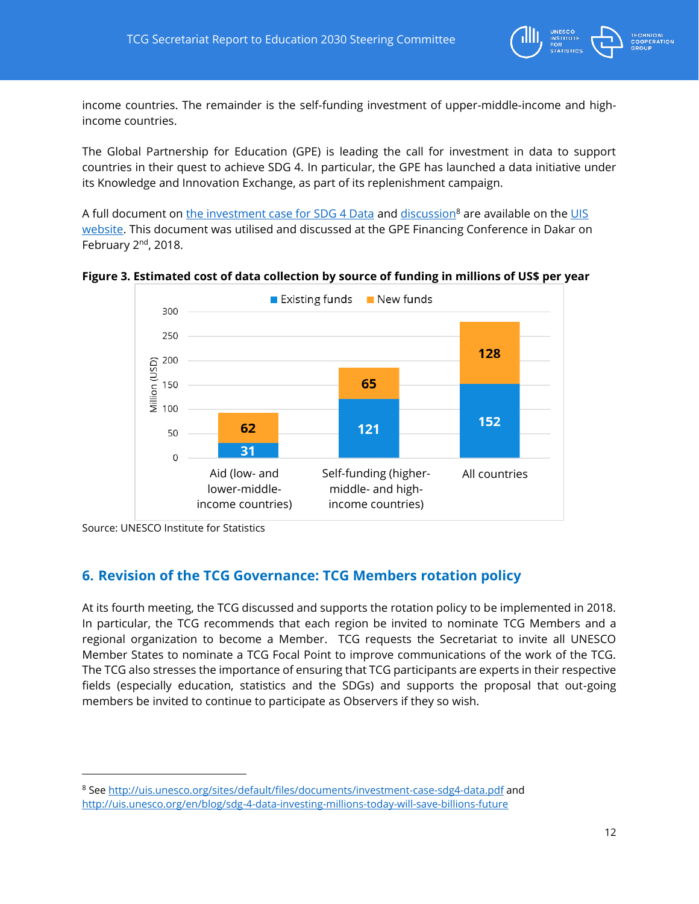

income countries. The remainder is the self-funding investment of upper-middle-income and highincome countries.

The Global Partnership for Education (GPE) is leading the call for investment in data to support countries in their quest to achieve SDG 4. In particular, the GPE has launched a data initiative under its Knowledge and Innovation Exchange, as part of its replenishment campaign.

A full document on [the investment case for SDG 4 Data](http://uis.unesco.org/sites/default/files/documents/investment-case-sdg4-data.pdf) and [discussion](http://uis.unesco.org/en/blog/sdg-4-data-investing-millions-today-will-save-billions-future)<sup>8</sup> are available on the UIS [website.](http://uis.unesco.org/) This document was utilised and discussed at the GPE Financing Conference in Dakar on February 2<sup>nd</sup>, 2018.

**Figure 3. Estimated cost of data collection by source of funding in millions of US\$ per year**



Source: UNESCO Institute for Statistics

 $\overline{a}$ 

## <span id="page-11-0"></span>**6. Revision of the TCG Governance: TCG Members rotation policy**

At its fourth meeting, the TCG discussed and supports the rotation policy to be implemented in 2018. In particular, the TCG recommends that each region be invited to nominate TCG Members and a regional organization to become a Member. TCG requests the Secretariat to invite all UNESCO Member States to nominate a TCG Focal Point to improve communications of the work of the TCG. The TCG also stresses the importance of ensuring that TCG participants are experts in their respective fields (especially education, statistics and the SDGs) and supports the proposal that out-going members be invited to continue to participate as Observers if they so wish.

<sup>8</sup> See<http://uis.unesco.org/sites/default/files/documents/investment-case-sdg4-data.pdf> and <http://uis.unesco.org/en/blog/sdg-4-data-investing-millions-today-will-save-billions-future>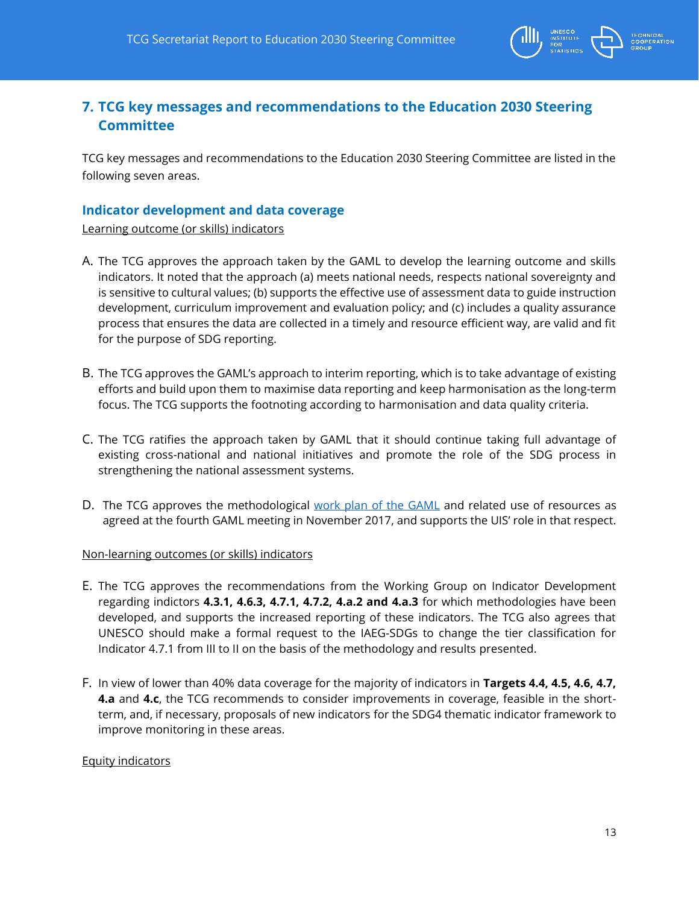

## <span id="page-12-0"></span>**7. TCG key messages and recommendations to the Education 2030 Steering Committee**

TCG key messages and recommendations to the Education 2030 Steering Committee are listed in the following seven areas.

#### **Indicator development and data coverage**

Learning outcome (or skills) indicators

- A. The TCG approves the approach taken by the GAML to develop the learning outcome and skills indicators. It noted that the approach (a) meets national needs, respects national sovereignty and is sensitive to cultural values; (b) supports the effective use of assessment data to guide instruction development, curriculum improvement and evaluation policy; and (c) includes a quality assurance process that ensures the data are collected in a timely and resource efficient way, are valid and fit for the purpose of SDG reporting.
- B. The TCG approves the GAML's approach to interim reporting, which is to take advantage of existing efforts and build upon them to maximise data reporting and keep harmonisation as the long-term focus. The TCG supports the footnoting according to harmonisation and data quality criteria.
- C. The TCG ratifies the approach taken by GAML that it should continue taking full advantage of existing cross-national and national initiatives and promote the role of the SDG process in strengthening the national assessment systems.
- D. The TCG approves the methodological [work plan of the GAML](http://tcg.uis.unesco.org/meetings_4th.php) and related use of resources as agreed at the fourth GAML meeting in November 2017, and supports the UIS' role in that respect.

#### Non-learning outcomes (or skills) indicators

- E. The TCG approves the recommendations from the Working Group on Indicator Development regarding indictors **4.3.1, 4.6.3, 4.7.1, 4.7.2, 4.a.2 and 4.a.3** for which methodologies have been developed, and supports the increased reporting of these indicators. The TCG also agrees that UNESCO should make a formal request to the IAEG-SDGs to change the tier classification for Indicator 4.7.1 from III to II on the basis of the methodology and results presented.
- F. In view of lower than 40% data coverage for the majority of indicators in **Targets 4.4, 4.5, 4.6, 4.7, 4.a** and **4.c**, the TCG recommends to consider improvements in coverage, feasible in the shortterm, and, if necessary, proposals of new indicators for the SDG4 thematic indicator framework to improve monitoring in these areas.

#### Equity indicators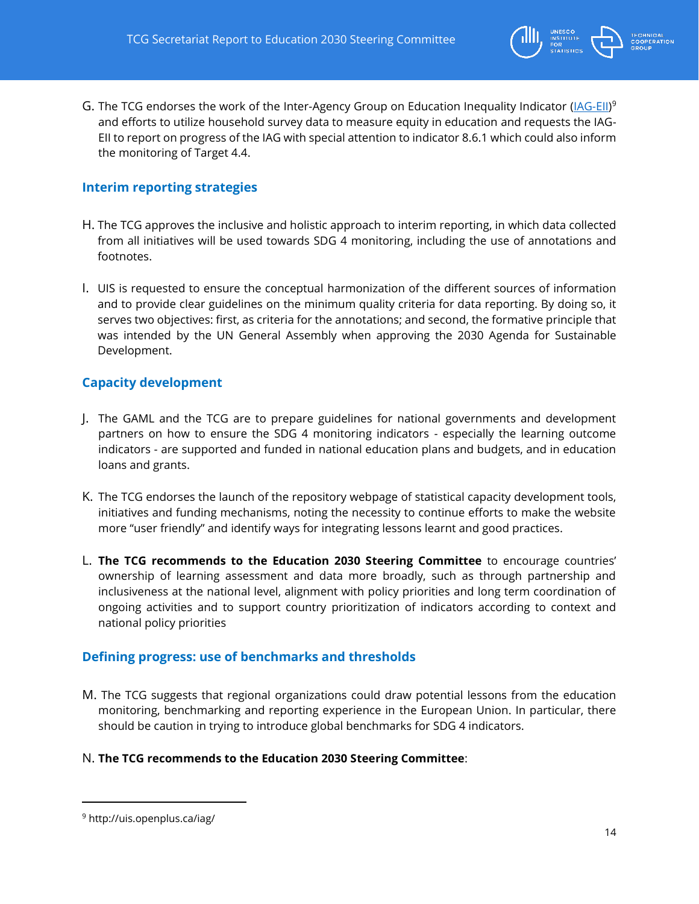

G. The TCG endorses the work of the Inter-Agency Group on Education Inequality Indicator [\(IAG-EII\)](http://uis.openplus.ca/iag/)<sup>9</sup> and efforts to utilize household survey data to measure equity in education and requests the IAG-EII to report on progress of the IAG with special attention to indicator 8.6.1 which could also inform the monitoring of Target 4.4.

#### **Interim reporting strategies**

- H. The TCG approves the inclusive and holistic approach to interim reporting, in which data collected from all initiatives will be used towards SDG 4 monitoring, including the use of annotations and footnotes.
- I. UIS is requested to ensure the conceptual harmonization of the different sources of information and to provide clear guidelines on the minimum quality criteria for data reporting. By doing so, it serves two objectives: first, as criteria for the annotations; and second, the formative principle that was intended by the UN General Assembly when approving the 2030 Agenda for Sustainable Development.

#### **Capacity development**

- J. The GAML and the TCG are to prepare guidelines for national governments and development partners on how to ensure the SDG 4 monitoring indicators - especially the learning outcome indicators - are supported and funded in national education plans and budgets, and in education loans and grants.
- K. The TCG endorses the launch of the repository webpage of statistical capacity development tools, initiatives and funding mechanisms, noting the necessity to continue efforts to make the website more "user friendly" and identify ways for integrating lessons learnt and good practices.
- L. **The TCG recommends to the Education 2030 Steering Committee** to encourage countries' ownership of learning assessment and data more broadly, such as through partnership and inclusiveness at the national level, alignment with policy priorities and long term coordination of ongoing activities and to support country prioritization of indicators according to context and national policy priorities

#### **Defining progress: use of benchmarks and thresholds**

M. The TCG suggests that regional organizations could draw potential lessons from the education monitoring, benchmarking and reporting experience in the European Union. In particular, there should be caution in trying to introduce global benchmarks for SDG 4 indicators.

#### N. **The TCG recommends to the Education 2030 Steering Committee**:

<sup>9</sup> http://uis.openplus.ca/iag/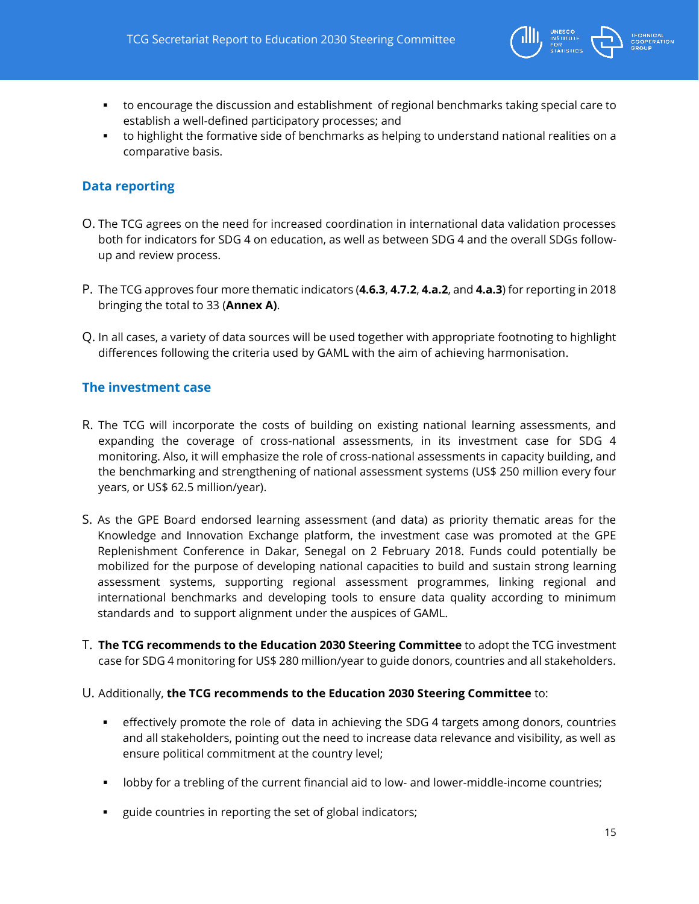

- to encourage the discussion and establishment of regional benchmarks taking special care to establish a well-defined participatory processes; and
- to highlight the formative side of benchmarks as helping to understand national realities on a comparative basis.

#### **Data reporting**

- O. The TCG agrees on the need for increased coordination in international data validation processes both for indicators for SDG 4 on education, as well as between SDG 4 and the overall SDGs followup and review process.
- P. The TCG approves four more thematic indicators (**4.6.3**, **4.7.2**, **4.a.2**, and **4.a.3**) for reporting in 2018 bringing the total to 33 (**Annex A)**.
- Q. In all cases, a variety of data sources will be used together with appropriate footnoting to highlight differences following the criteria used by GAML with the aim of achieving harmonisation.

#### **The investment case**

- R. The TCG will incorporate the costs of building on existing national learning assessments, and expanding the coverage of cross-national assessments, in its investment case for SDG 4 monitoring. Also, it will emphasize the role of cross-national assessments in capacity building, and the benchmarking and strengthening of national assessment systems (US\$ 250 million every four years, or US\$ 62.5 million/year).
- S. As the GPE Board endorsed learning assessment (and data) as priority thematic areas for the Knowledge and Innovation Exchange platform, the investment case was promoted at the GPE Replenishment Conference in Dakar, Senegal on 2 February 2018. Funds could potentially be mobilized for the purpose of developing national capacities to build and sustain strong learning assessment systems, supporting regional assessment programmes, linking regional and international benchmarks and developing tools to ensure data quality according to minimum standards and to support alignment under the auspices of GAML.
- T. **The TCG recommends to the Education 2030 Steering Committee** to adopt the TCG investment case for SDG 4 monitoring for US\$ 280 million/year to guide donors, countries and all stakeholders.

#### U. Additionally, **the TCG recommends to the Education 2030 Steering Committee** to:

- effectively promote the role of data in achieving the SDG 4 targets among donors, countries and all stakeholders, pointing out the need to increase data relevance and visibility, as well as ensure political commitment at the country level;
- lobby for a trebling of the current financial aid to low- and lower-middle-income countries;
- guide countries in reporting the set of global indicators;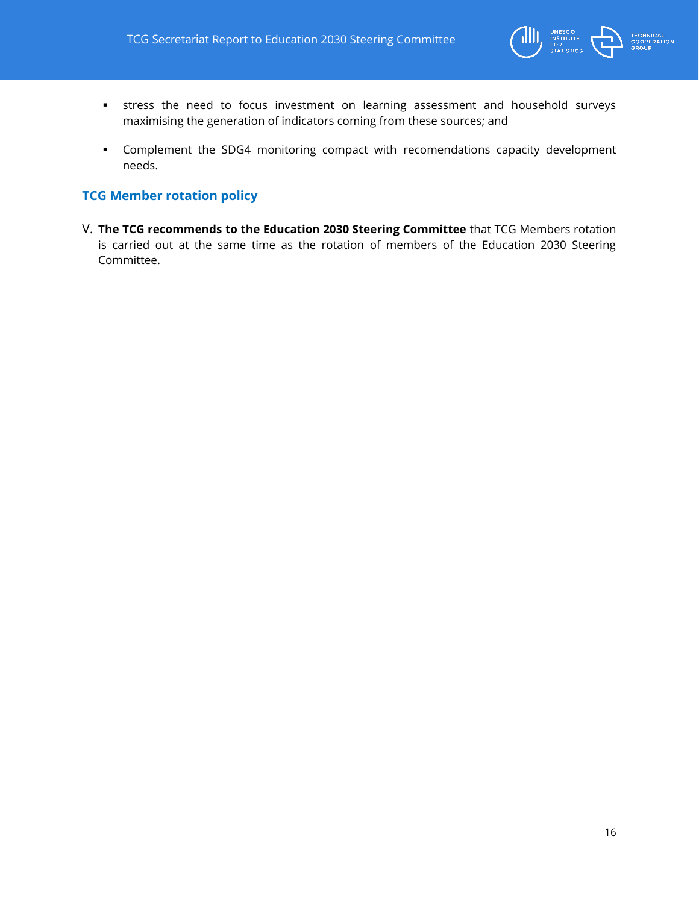

- stress the need to focus investment on learning assessment and household surveys maximising the generation of indicators coming from these sources; and
- Complement the SDG4 monitoring compact with recomendations capacity development needs.

#### **TCG Member rotation policy**

V. **The TCG recommends to the Education 2030 Steering Committee** that TCG Members rotation is carried out at the same time as the rotation of members of the Education 2030 Steering Committee.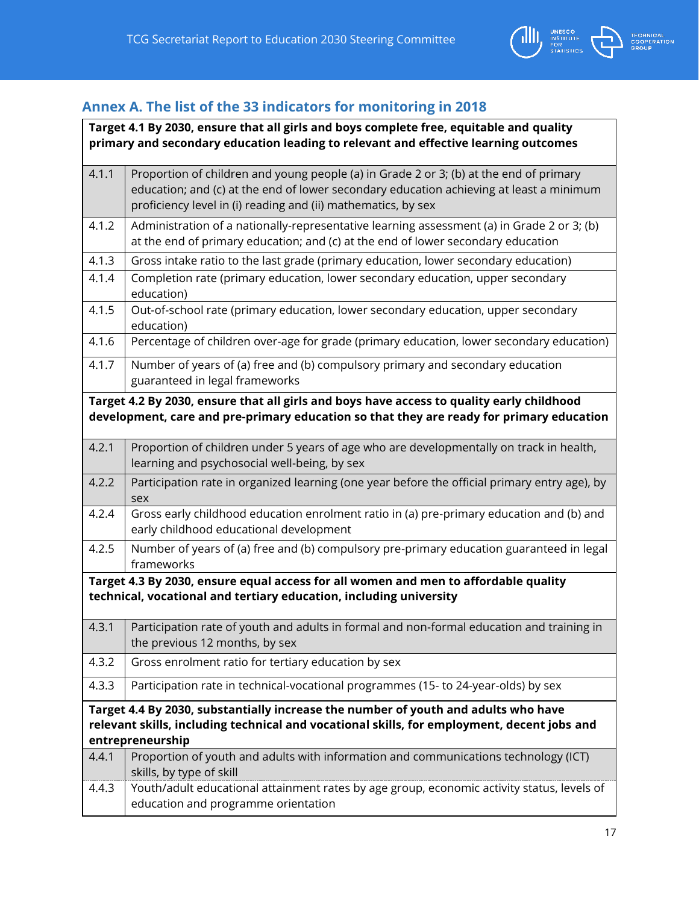

# <span id="page-16-0"></span>**Annex A. The list of the 33 indicators for monitoring in 2018**

| Target 4.1 By 2030, ensure that all girls and boys complete free, equitable and quality<br>primary and secondary education leading to relevant and effective learning outcomes        |                                                                                                                                                                                                                                                    |  |  |  |
|---------------------------------------------------------------------------------------------------------------------------------------------------------------------------------------|----------------------------------------------------------------------------------------------------------------------------------------------------------------------------------------------------------------------------------------------------|--|--|--|
| 4.1.1                                                                                                                                                                                 | Proportion of children and young people (a) in Grade 2 or 3; (b) at the end of primary<br>education; and (c) at the end of lower secondary education achieving at least a minimum<br>proficiency level in (i) reading and (ii) mathematics, by sex |  |  |  |
| 4.1.2                                                                                                                                                                                 | Administration of a nationally-representative learning assessment (a) in Grade 2 or 3; (b)<br>at the end of primary education; and (c) at the end of lower secondary education                                                                     |  |  |  |
| 4.1.3                                                                                                                                                                                 | Gross intake ratio to the last grade (primary education, lower secondary education)                                                                                                                                                                |  |  |  |
| 4.1.4                                                                                                                                                                                 | Completion rate (primary education, lower secondary education, upper secondary<br>education)                                                                                                                                                       |  |  |  |
| 4.1.5                                                                                                                                                                                 | Out-of-school rate (primary education, lower secondary education, upper secondary<br>education)                                                                                                                                                    |  |  |  |
| 4.1.6                                                                                                                                                                                 | Percentage of children over-age for grade (primary education, lower secondary education)                                                                                                                                                           |  |  |  |
| 4.1.7                                                                                                                                                                                 | Number of years of (a) free and (b) compulsory primary and secondary education<br>guaranteed in legal frameworks                                                                                                                                   |  |  |  |
| Target 4.2 By 2030, ensure that all girls and boys have access to quality early childhood<br>development, care and pre-primary education so that they are ready for primary education |                                                                                                                                                                                                                                                    |  |  |  |
| 4.2.1                                                                                                                                                                                 | Proportion of children under 5 years of age who are developmentally on track in health,<br>learning and psychosocial well-being, by sex                                                                                                            |  |  |  |
| 4.2.2                                                                                                                                                                                 | Participation rate in organized learning (one year before the official primary entry age), by<br>sex                                                                                                                                               |  |  |  |
| 4.2.4                                                                                                                                                                                 | Gross early childhood education enrolment ratio in (a) pre-primary education and (b) and<br>early childhood educational development                                                                                                                |  |  |  |
| 4.2.5                                                                                                                                                                                 | Number of years of (a) free and (b) compulsory pre-primary education guaranteed in legal<br>frameworks                                                                                                                                             |  |  |  |
|                                                                                                                                                                                       | Target 4.3 By 2030, ensure equal access for all women and men to affordable quality<br>technical, vocational and tertiary education, including university                                                                                          |  |  |  |
| 4.3.1                                                                                                                                                                                 | Participation rate of youth and adults in formal and non-formal education and training in<br>the previous 12 months, by sex                                                                                                                        |  |  |  |
| 4.3.2                                                                                                                                                                                 | Gross enrolment ratio for tertiary education by sex                                                                                                                                                                                                |  |  |  |
| 4.3.3                                                                                                                                                                                 | Participation rate in technical-vocational programmes (15- to 24-year-olds) by sex                                                                                                                                                                 |  |  |  |
|                                                                                                                                                                                       | Target 4.4 By 2030, substantially increase the number of youth and adults who have<br>relevant skills, including technical and vocational skills, for employment, decent jobs and<br>entrepreneurship                                              |  |  |  |
| 4.4.1                                                                                                                                                                                 | Proportion of youth and adults with information and communications technology (ICT)<br>skills, by type of skill                                                                                                                                    |  |  |  |
| 4.4.3                                                                                                                                                                                 | Youth/adult educational attainment rates by age group, economic activity status, levels of<br>education and programme orientation                                                                                                                  |  |  |  |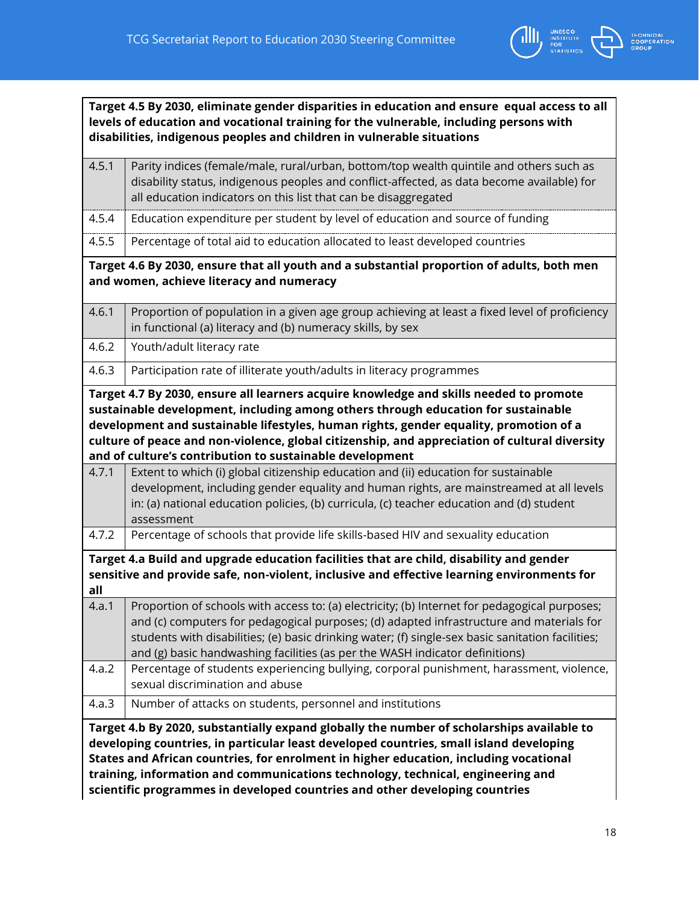

|                                                                                                                                                                                                                                                                                                                                                                                                                                                | Target 4.5 By 2030, eliminate gender disparities in education and ensure equal access to all<br>levels of education and vocational training for the vulnerable, including persons with<br>disabilities, indigenous peoples and children in vulnerable situations                                                                                                                                                                                                                                                                                                                                                       |  |  |  |
|------------------------------------------------------------------------------------------------------------------------------------------------------------------------------------------------------------------------------------------------------------------------------------------------------------------------------------------------------------------------------------------------------------------------------------------------|------------------------------------------------------------------------------------------------------------------------------------------------------------------------------------------------------------------------------------------------------------------------------------------------------------------------------------------------------------------------------------------------------------------------------------------------------------------------------------------------------------------------------------------------------------------------------------------------------------------------|--|--|--|
| 4.5.1                                                                                                                                                                                                                                                                                                                                                                                                                                          | Parity indices (female/male, rural/urban, bottom/top wealth quintile and others such as<br>disability status, indigenous peoples and conflict-affected, as data become available) for<br>all education indicators on this list that can be disaggregated                                                                                                                                                                                                                                                                                                                                                               |  |  |  |
| 4.5.4                                                                                                                                                                                                                                                                                                                                                                                                                                          | Education expenditure per student by level of education and source of funding                                                                                                                                                                                                                                                                                                                                                                                                                                                                                                                                          |  |  |  |
| 4.5.5                                                                                                                                                                                                                                                                                                                                                                                                                                          | Percentage of total aid to education allocated to least developed countries                                                                                                                                                                                                                                                                                                                                                                                                                                                                                                                                            |  |  |  |
|                                                                                                                                                                                                                                                                                                                                                                                                                                                | Target 4.6 By 2030, ensure that all youth and a substantial proportion of adults, both men<br>and women, achieve literacy and numeracy                                                                                                                                                                                                                                                                                                                                                                                                                                                                                 |  |  |  |
| 4.6.1                                                                                                                                                                                                                                                                                                                                                                                                                                          | Proportion of population in a given age group achieving at least a fixed level of proficiency<br>in functional (a) literacy and (b) numeracy skills, by sex                                                                                                                                                                                                                                                                                                                                                                                                                                                            |  |  |  |
| 4.6.2                                                                                                                                                                                                                                                                                                                                                                                                                                          | Youth/adult literacy rate                                                                                                                                                                                                                                                                                                                                                                                                                                                                                                                                                                                              |  |  |  |
| 4.6.3                                                                                                                                                                                                                                                                                                                                                                                                                                          | Participation rate of illiterate youth/adults in literacy programmes                                                                                                                                                                                                                                                                                                                                                                                                                                                                                                                                                   |  |  |  |
| 4.7.1                                                                                                                                                                                                                                                                                                                                                                                                                                          | sustainable development, including among others through education for sustainable<br>development and sustainable lifestyles, human rights, gender equality, promotion of a<br>culture of peace and non-violence, global citizenship, and appreciation of cultural diversity<br>and of culture's contribution to sustainable development<br>Extent to which (i) global citizenship education and (ii) education for sustainable<br>development, including gender equality and human rights, are mainstreamed at all levels<br>in: (a) national education policies, (b) curricula, (c) teacher education and (d) student |  |  |  |
| 4.7.2                                                                                                                                                                                                                                                                                                                                                                                                                                          | assessment<br>Percentage of schools that provide life skills-based HIV and sexuality education                                                                                                                                                                                                                                                                                                                                                                                                                                                                                                                         |  |  |  |
| Target 4.a Build and upgrade education facilities that are child, disability and gender<br>sensitive and provide safe, non-violent, inclusive and effective learning environments for<br>all                                                                                                                                                                                                                                                   |                                                                                                                                                                                                                                                                                                                                                                                                                                                                                                                                                                                                                        |  |  |  |
| 4.a.1                                                                                                                                                                                                                                                                                                                                                                                                                                          | Proportion of schools with access to: (a) electricity; (b) Internet for pedagogical purposes;<br>and (c) computers for pedagogical purposes; (d) adapted infrastructure and materials for<br>students with disabilities; (e) basic drinking water; (f) single-sex basic sanitation facilities;<br>and (g) basic handwashing facilities (as per the WASH indicator definitions)                                                                                                                                                                                                                                         |  |  |  |
| 4.a.2                                                                                                                                                                                                                                                                                                                                                                                                                                          | Percentage of students experiencing bullying, corporal punishment, harassment, violence,<br>sexual discrimination and abuse                                                                                                                                                                                                                                                                                                                                                                                                                                                                                            |  |  |  |
| 4.a.3                                                                                                                                                                                                                                                                                                                                                                                                                                          | Number of attacks on students, personnel and institutions                                                                                                                                                                                                                                                                                                                                                                                                                                                                                                                                                              |  |  |  |
| Target 4.b By 2020, substantially expand globally the number of scholarships available to<br>developing countries, in particular least developed countries, small island developing<br>States and African countries, for enrolment in higher education, including vocational<br>training, information and communications technology, technical, engineering and<br>scientific programmes in developed countries and other developing countries |                                                                                                                                                                                                                                                                                                                                                                                                                                                                                                                                                                                                                        |  |  |  |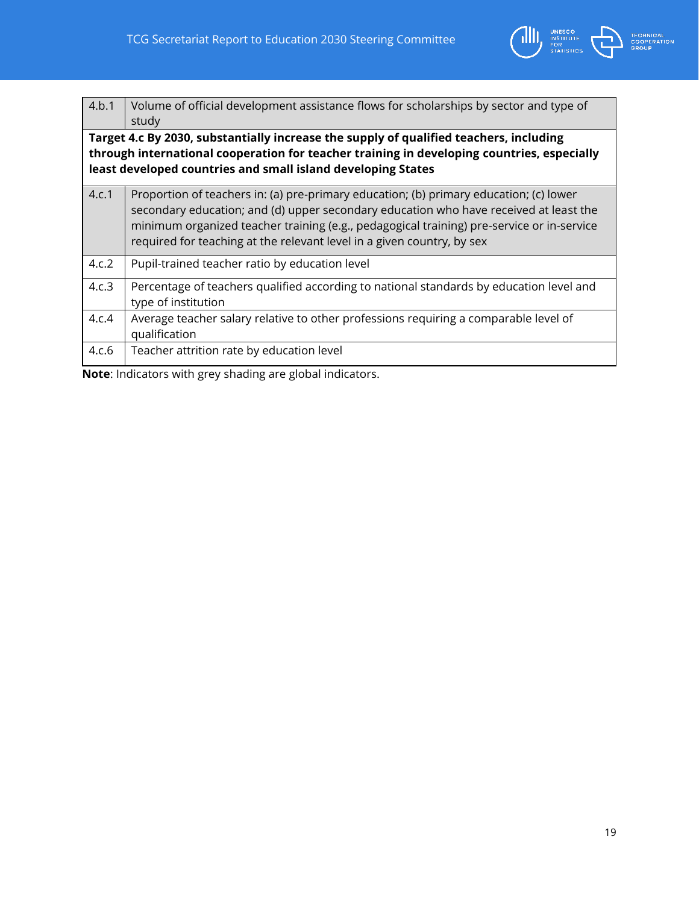

| 4.b.1 | Volume of official development assistance flows for scholarships by sector and type of<br>study                                                                                                                                                                                                                                                        |  |  |  |  |
|-------|--------------------------------------------------------------------------------------------------------------------------------------------------------------------------------------------------------------------------------------------------------------------------------------------------------------------------------------------------------|--|--|--|--|
|       | Target 4.c By 2030, substantially increase the supply of qualified teachers, including<br>through international cooperation for teacher training in developing countries, especially<br>least developed countries and small island developing States                                                                                                   |  |  |  |  |
| 4.c.1 | Proportion of teachers in: (a) pre-primary education; (b) primary education; (c) lower<br>secondary education; and (d) upper secondary education who have received at least the<br>minimum organized teacher training (e.g., pedagogical training) pre-service or in-service<br>required for teaching at the relevant level in a given country, by sex |  |  |  |  |
| 4.c.2 | Pupil-trained teacher ratio by education level                                                                                                                                                                                                                                                                                                         |  |  |  |  |
| 4.c.3 | Percentage of teachers qualified according to national standards by education level and<br>type of institution                                                                                                                                                                                                                                         |  |  |  |  |
| 4.c.4 | Average teacher salary relative to other professions requiring a comparable level of<br>qualification                                                                                                                                                                                                                                                  |  |  |  |  |
| 4.c.6 | Teacher attrition rate by education level                                                                                                                                                                                                                                                                                                              |  |  |  |  |

**Note**: Indicators with grey shading are global indicators.